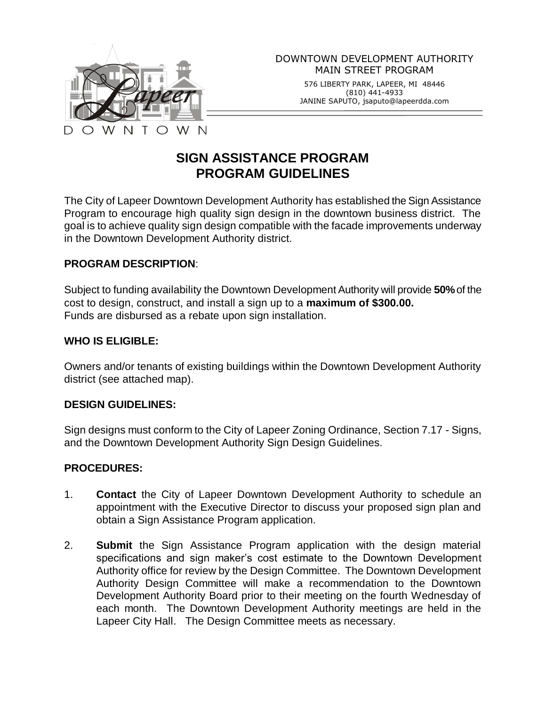

576 LIBERTY PARK, LAPEER, MI 48446 (810) 441-4933 JANINE SAPUTO, jsaputo@lapeerdda.com

# **SIGN ASSISTANCE PROGRAM PROGRAM GUIDELINES**

The City of Lapeer Downtown Development Authority has established the Sign Assistance Program to encourage high quality sign design in the downtown business district. The goal is to achieve quality sign design compatible with the facade improvements underway in the Downtown Development Authority district.

#### **PROGRAM DESCRIPTION**:

Subject to funding availability the Downtown Development Authority will provide **50%**of the cost to design, construct, and install a sign up to a **maximum of \$300.00.** Funds are disbursed as a rebate upon sign installation.

#### **WHO IS ELIGIBLE:**

Owners and/or tenants of existing buildings within the Downtown Development Authority district (see attached map).

#### **DESIGN GUIDELINES:**

Sign designs must conform to the City of Lapeer Zoning Ordinance, Section 7.17 - Signs, and the Downtown Development Authority Sign Design Guidelines.

## **PROCEDURES:**

- 1. **Contact** the City of Lapeer Downtown Development Authority to schedule an appointment with the Executive Director to discuss your proposed sign plan and obtain a Sign Assistance Program application.
- 2. **Submit** the Sign Assistance Program application with the design material specifications and sign maker's cost estimate to the Downtown Development Authority office for review by the Design Committee. The Downtown Development Authority Design Committee will make a recommendation to the Downtown Development Authority Board prior to their meeting on the fourth Wednesday of each month. The Downtown Development Authority meetings are held in the Lapeer City Hall. The Design Committee meets as necessary.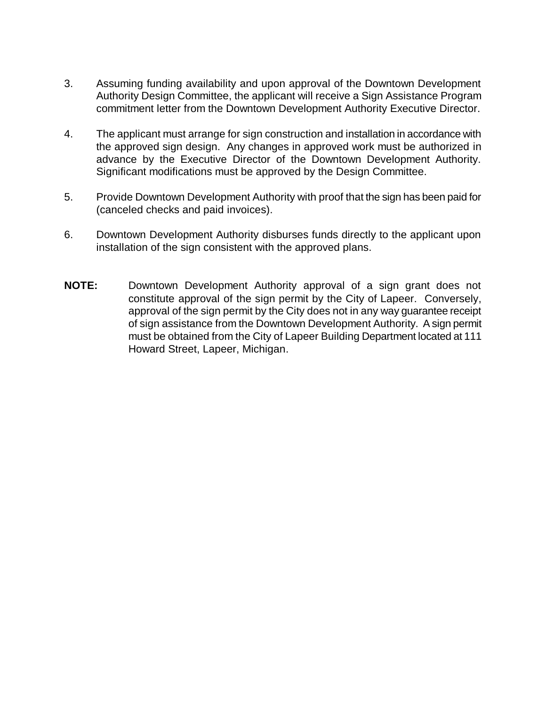- 3. Assuming funding availability and upon approval of the Downtown Development Authority Design Committee, the applicant will receive a Sign Assistance Program commitment letter from the Downtown Development Authority Executive Director.
- 4. The applicant must arrange for sign construction and installation in accordance with the approved sign design. Any changes in approved work must be authorized in advance by the Executive Director of the Downtown Development Authority. Significant modifications must be approved by the Design Committee.
- 5. Provide Downtown Development Authority with proof that the sign has been paid for (canceled checks and paid invoices).
- 6. Downtown Development Authority disburses funds directly to the applicant upon installation of the sign consistent with the approved plans.
- **NOTE:** Downtown Development Authority approval of a sign grant does not constitute approval of the sign permit by the City of Lapeer. Conversely, approval of the sign permit by the City does not in any way guarantee receipt of sign assistance from the Downtown Development Authority. A sign permit must be obtained from the City of Lapeer Building Department located at 111 Howard Street, Lapeer, Michigan.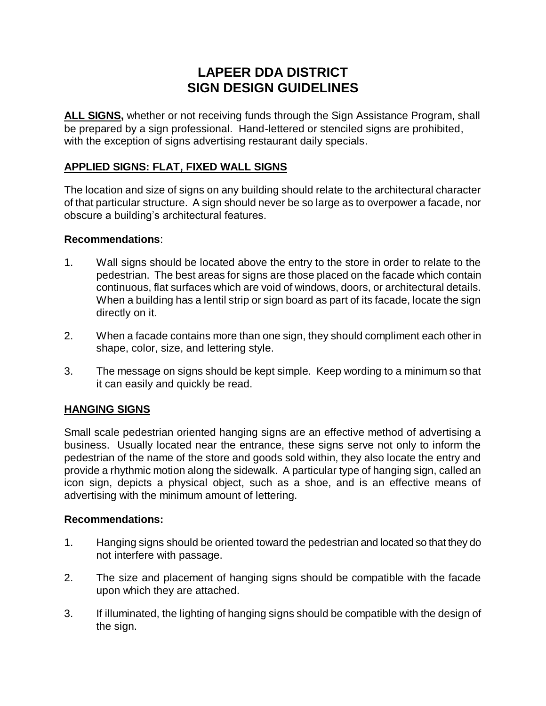## **LAPEER DDA DISTRICT SIGN DESIGN GUIDELINES**

**ALL SIGNS,** whether or not receiving funds through the Sign Assistance Program, shall be prepared by a sign professional. Hand-lettered or stenciled signs are prohibited, with the exception of signs advertising restaurant daily specials.

## **APPLIED SIGNS: FLAT, FIXED WALL SIGNS**

The location and size of signs on any building should relate to the architectural character of that particular structure. A sign should never be so large as to overpower a facade, nor obscure a building's architectural features.

#### **Recommendations**:

- 1. Wall signs should be located above the entry to the store in order to relate to the pedestrian. The best areas for signs are those placed on the facade which contain continuous, flat surfaces which are void of windows, doors, or architectural details. When a building has a lentil strip or sign board as part of its facade, locate the sign directly on it.
- 2. When a facade contains more than one sign, they should compliment each other in shape, color, size, and lettering style.
- 3. The message on signs should be kept simple. Keep wording to a minimum so that it can easily and quickly be read.

## **HANGING SIGNS**

Small scale pedestrian oriented hanging signs are an effective method of advertising a business. Usually located near the entrance, these signs serve not only to inform the pedestrian of the name of the store and goods sold within, they also locate the entry and provide a rhythmic motion along the sidewalk. A particular type of hanging sign, called an icon sign, depicts a physical object, such as a shoe, and is an effective means of advertising with the minimum amount of lettering.

#### **Recommendations:**

- 1. Hanging signs should be oriented toward the pedestrian and located so that they do not interfere with passage.
- 2. The size and placement of hanging signs should be compatible with the facade upon which they are attached.
- 3. If illuminated, the lighting of hanging signs should be compatible with the design of the sign.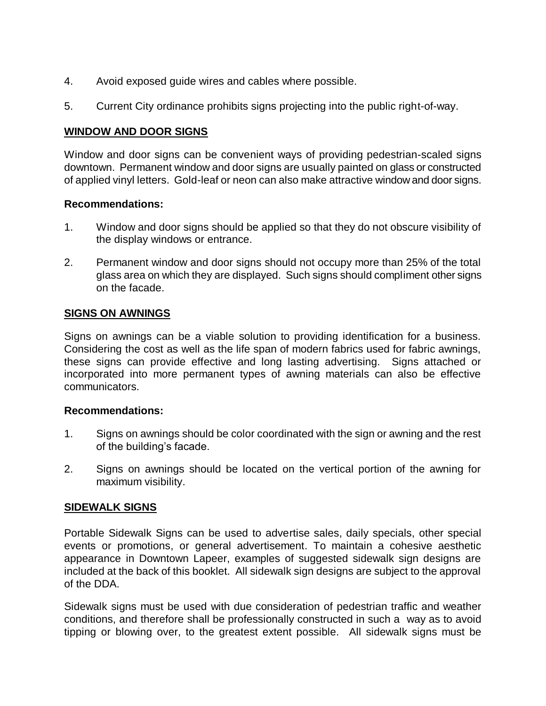- 4. Avoid exposed guide wires and cables where possible.
- 5. Current City ordinance prohibits signs projecting into the public right-of-way.

#### **WINDOW AND DOOR SIGNS**

Window and door signs can be convenient ways of providing pedestrian-scaled signs downtown. Permanent window and door signs are usually painted on glass or constructed of applied vinyl letters. Gold-leaf or neon can also make attractive window and door signs.

#### **Recommendations:**

- 1. Window and door signs should be applied so that they do not obscure visibility of the display windows or entrance.
- 2. Permanent window and door signs should not occupy more than 25% of the total glass area on which they are displayed. Such signs should compliment other signs on the facade.

## **SIGNS ON AWNINGS**

Signs on awnings can be a viable solution to providing identification for a business. Considering the cost as well as the life span of modern fabrics used for fabric awnings, these signs can provide effective and long lasting advertising. Signs attached or incorporated into more permanent types of awning materials can also be effective communicators.

#### **Recommendations:**

- 1. Signs on awnings should be color coordinated with the sign or awning and the rest of the building's facade.
- 2. Signs on awnings should be located on the vertical portion of the awning for maximum visibility.

## **SIDEWALK SIGNS**

Portable Sidewalk Signs can be used to advertise sales, daily specials, other special events or promotions, or general advertisement. To maintain a cohesive aesthetic appearance in Downtown Lapeer, examples of suggested sidewalk sign designs are included at the back of this booklet. All sidewalk sign designs are subject to the approval of the DDA.

Sidewalk signs must be used with due consideration of pedestrian traffic and weather conditions, and therefore shall be professionally constructed in such a way as to avoid tipping or blowing over, to the greatest extent possible. All sidewalk signs must be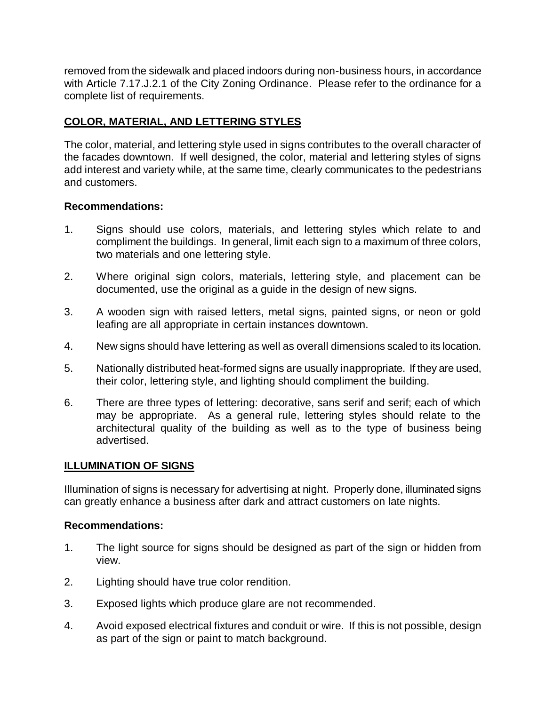removed from the sidewalk and placed indoors during non-business hours, in accordance with Article 7.17.J.2.1 of the City Zoning Ordinance. Please refer to the ordinance for a complete list of requirements.

## **COLOR, MATERIAL, AND LETTERING STYLES**

The color, material, and lettering style used in signs contributes to the overall character of the facades downtown. If well designed, the color, material and lettering styles of signs add interest and variety while, at the same time, clearly communicates to the pedestrians and customers.

## **Recommendations:**

- 1. Signs should use colors, materials, and lettering styles which relate to and compliment the buildings. In general, limit each sign to a maximum of three colors, two materials and one lettering style.
- 2. Where original sign colors, materials, lettering style, and placement can be documented, use the original as a guide in the design of new signs.
- 3. A wooden sign with raised letters, metal signs, painted signs, or neon or gold leafing are all appropriate in certain instances downtown.
- 4. New signs should have lettering as well as overall dimensions scaled to its location.
- 5. Nationally distributed heat-formed signs are usually inappropriate. If they are used, their color, lettering style, and lighting should compliment the building.
- 6. There are three types of lettering: decorative, sans serif and serif; each of which may be appropriate. As a general rule, lettering styles should relate to the architectural quality of the building as well as to the type of business being advertised.

## **ILLUMINATION OF SIGNS**

Illumination of signs is necessary for advertising at night. Properly done, illuminated signs can greatly enhance a business after dark and attract customers on late nights.

#### **Recommendations:**

- 1. The light source for signs should be designed as part of the sign or hidden from view.
- 2. Lighting should have true color rendition.
- 3. Exposed lights which produce glare are not recommended.
- 4. Avoid exposed electrical fixtures and conduit or wire. If this is not possible, design as part of the sign or paint to match background.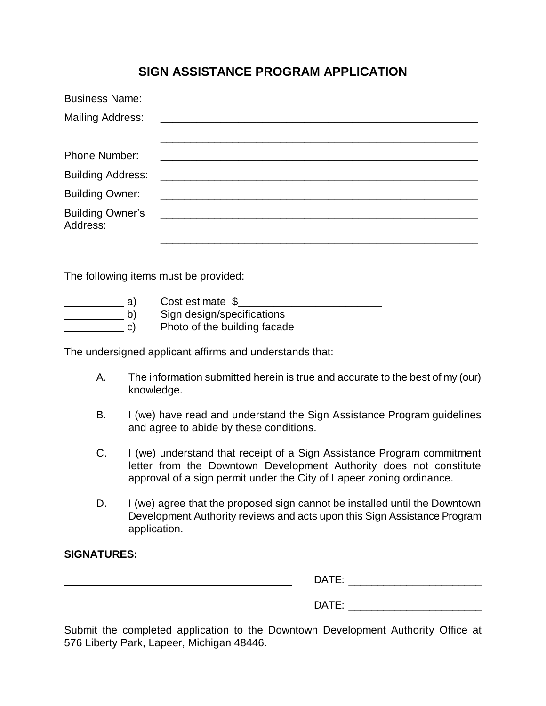## **SIGN ASSISTANCE PROGRAM APPLICATION**

| <b>Business Name:</b>               |                                           |  |
|-------------------------------------|-------------------------------------------|--|
| <b>Mailing Address:</b>             |                                           |  |
|                                     |                                           |  |
| Phone Number:                       |                                           |  |
| <b>Building Address:</b>            |                                           |  |
| <b>Building Owner:</b>              |                                           |  |
| <b>Building Owner's</b><br>Address: | <u> 2000 - Jan Barnett, mars et al. (</u> |  |
|                                     |                                           |  |

The following items must be provided:

| a            | Cost estimate \$             |
|--------------|------------------------------|
| $\mathsf{D}$ | Sign design/specifications   |
| C)           | Photo of the building facade |

The undersigned applicant affirms and understands that:

- A. The information submitted herein is true and accurate to the best of my (our) knowledge.
- B. I (we) have read and understand the Sign Assistance Program guidelines and agree to abide by these conditions.
- C. I (we) understand that receipt of a Sign Assistance Program commitment letter from the Downtown Development Authority does not constitute approval of a sign permit under the City of Lapeer zoning ordinance.
- D. I (we) agree that the proposed sign cannot be installed until the Downtown Development Authority reviews and acts upon this Sign Assistance Program application.

#### **SIGNATURES:**

| DAT.<br>_ |
|-----------|
| DATE:     |

Submit the completed application to the Downtown Development Authority Office at 576 Liberty Park, Lapeer, Michigan 48446.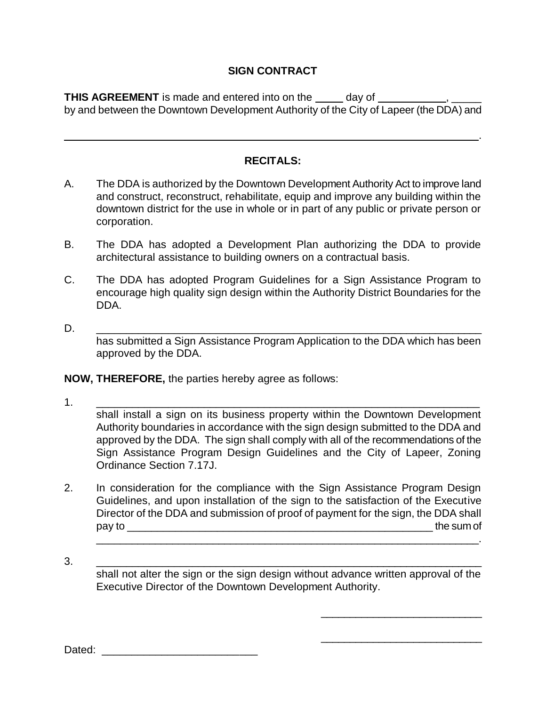## **SIGN CONTRACT**

**THIS AGREEMENT** is made and entered into on the <u>same day of second second</u>,  $\frac{1}{1-\frac{1}{2}}$ by and between the Downtown Development Authority of the City of Lapeer (the DDA) and

#### **RECITALS:**

<u>. Andre de la contrada de la contrada de la contrada de la contrada de la contrada de la contrada de la contra</u>

- A. The DDA is authorized by the Downtown Development Authority Act to improve land and construct, reconstruct, rehabilitate, equip and improve any building within the downtown district for the use in whole or in part of any public or private person or corporation.
- B. The DDA has adopted a Development Plan authorizing the DDA to provide architectural assistance to building owners on a contractual basis.
- C. The DDA has adopted Program Guidelines for a Sign Assistance Program to encourage high quality sign design within the Authority District Boundaries for the DDA.
- D. \_\_\_\_\_\_\_\_\_\_\_\_\_\_\_\_\_\_\_\_\_\_\_\_\_\_\_\_\_\_\_\_\_\_\_\_\_\_\_\_\_\_\_\_\_\_\_\_\_\_\_\_\_\_\_\_\_\_\_\_\_\_\_\_\_ has submitted a Sign Assistance Program Application to the DDA which has been approved by the DDA.

**NOW, THEREFORE,** the parties hereby agree as follows:

1. \_\_\_\_\_\_\_\_\_\_\_\_\_\_\_\_\_\_\_\_\_\_\_\_\_\_\_\_\_\_\_\_\_\_\_\_\_\_\_\_\_\_\_\_\_\_\_\_\_\_\_\_\_\_\_\_\_\_\_\_\_\_\_\_

shall install a sign on its business property within the Downtown Development Authority boundaries in accordance with the sign design submitted to the DDA and approved by the DDA. The sign shall comply with all of the recommendations of the Sign Assistance Program Design Guidelines and the City of Lapeer, Zoning Ordinance Section 7.17J.

2. In consideration for the compliance with the Sign Assistance Program Design Guidelines, and upon installation of the sign to the satisfaction of the Executive Director of the DDA and submission of proof of payment for the sign, the DDA shall pay to \_\_\_\_\_\_\_\_\_\_\_\_\_\_\_\_\_\_\_\_\_\_\_\_\_\_\_\_\_\_\_\_\_\_\_\_\_\_\_\_\_\_\_\_\_\_\_\_\_\_\_ the sum of

\_\_\_\_\_\_\_\_\_\_\_\_\_\_\_\_\_\_\_\_\_\_\_\_\_\_\_\_\_\_\_\_\_\_\_\_\_\_\_\_\_\_\_\_\_\_\_\_\_\_\_\_\_\_\_\_\_\_\_\_\_\_\_\_\_\_.

\_\_\_\_\_\_\_\_\_\_\_\_\_\_\_\_\_\_\_\_\_\_\_\_\_\_\_\_

\_\_\_\_\_\_\_\_\_\_\_\_\_\_\_\_\_\_\_\_\_\_\_\_\_\_\_\_

3. \_\_\_\_\_\_\_\_\_\_\_\_\_\_\_\_\_\_\_\_\_\_\_\_\_\_\_\_\_\_\_\_\_\_\_\_\_\_\_\_\_\_\_\_\_\_\_\_\_\_\_\_\_\_\_\_\_\_\_\_\_\_\_\_\_ shall not alter the sign or the sign design without advance written approval of the Executive Director of the Downtown Development Authority.

Dated: \_\_\_\_\_\_\_\_\_\_\_\_\_\_\_\_\_\_\_\_\_\_\_\_\_\_